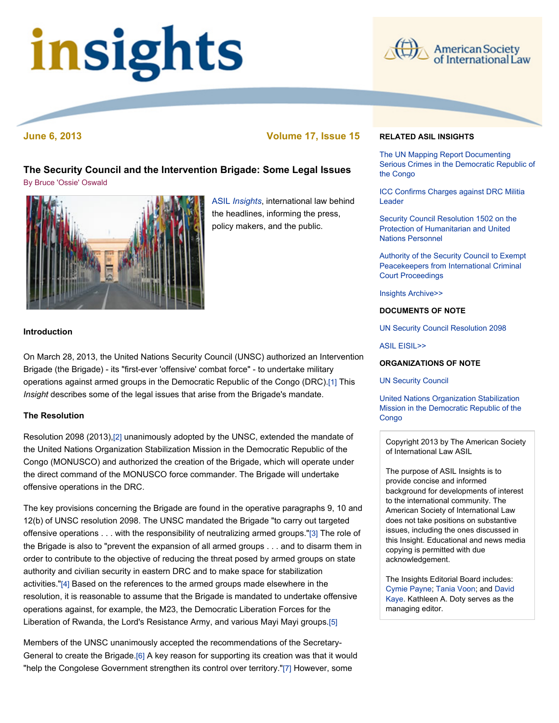# insights



**June 6, 2013 Volume 17, Issue 15**

# **The Security Council and the Intervention Brigade: Some Legal Issues** [By Bruce 'Ossie' Oswald](file:///Users/jamessteiner/ASIL/ASIL%202011/www/_Design%20Templates/insights/insight130606.html#author)



ASIL *[Insights](http://www.asil.org/insights.cfm)*, international law behind the headlines, informing the press, policy makers, and the public.

# **Introduction**

On March 28, 2013, the United Nations Security Council (UNSC) authorized an Intervention Brigade (the Brigade) - its "first-ever 'offensive' combat force" - to undertake military operations against armed groups in the Democratic Republic of the Congo (DRC)[.\[1\]](file:///Users/jamessteiner/ASIL/ASIL%202011/www/_Design%20Templates/insights/insight130606.html#_edn1) This *Insight* describes some of the legal issues that arise from the Brigade's mandate.

## **The Resolution**

Resolution 2098 (2013)[,\[2\]](file:///Users/jamessteiner/ASIL/ASIL%202011/www/_Design%20Templates/insights/insight130606.html#_edn2) unanimously adopted by the UNSC, extended the mandate of the United Nations Organization Stabilization Mission in the Democratic Republic of the Congo (MONUSCO) and authorized the creation of the Brigade, which will operate under the direct command of the MONUSCO force commander. The Brigade will undertake offensive operations in the DRC.

The key provisions concerning the Brigade are found in the operative paragraphs 9, 10 and 12(b) of UNSC resolution 2098. The UNSC mandated the Brigade "to carry out targeted offensive operations . . . with the responsibility of neutralizing armed groups.["\[3\]](file:///Users/jamessteiner/ASIL/ASIL%202011/www/_Design%20Templates/insights/insight130606.html#_edn3) The role of the Brigade is also to "prevent the expansion of all armed groups . . . and to disarm them in order to contribute to the objective of reducing the threat posed by armed groups on state authority and civilian security in eastern DRC and to make space for stabilization activities.["\[4\]](file:///Users/jamessteiner/ASIL/ASIL%202011/www/_Design%20Templates/insights/insight130606.html#_edn4) Based on the references to the armed groups made elsewhere in the resolution, it is reasonable to assume that the Brigade is mandated to undertake offensive operations against, for example, the M23, the Democratic Liberation Forces for the Liberation of Rwanda, the Lord's Resistance Army, and various Mayi Mayi groups[.\[5\]](file:///Users/jamessteiner/ASIL/ASIL%202011/www/_Design%20Templates/insights/insight130606.html#_edn5)

Members of the UNSC unanimously accepted the recommendations of the Secretary-General to create the Brigade[.\[6\]](file:///Users/jamessteiner/ASIL/ASIL%202011/www/_Design%20Templates/insights/insight130606.html#_edn6) A key reason for supporting its creation was that it would "help the Congolese Government strengthen its control over territory."[\[7\]](file:///Users/jamessteiner/ASIL/ASIL%202011/www/_Design%20Templates/insights/insight130606.html#_edn7) However, some

#### **RELATED ASIL INSIGHTS**

The UN Mapping Report Documenting [Serious Crimes in the Democratic Republic of](http://www.asil.org/insights101115.cfm) the Congo

[ICC Confirms Charges against DRC Militia](http://www.asil.org/insights070309.cfm) Leader

[Security Council Resolution 1502 on the](http://www.asil.org/insigh115.cfm) Protection of Humanitarian and United Nations Personnel

[Authority of the Security Council to Exempt](http://www.asil.org/insigh89.cfm) Peacekeepers from International Criminal Court Proceedings

[Insights Archive>>](http://www.asil.org/insights.cfm)

#### **DOCUMENTS OF NOTE**

[UN Security Council Resolution 2098](http://www.un.org/ga/search/view_doc.asp?symbol=S/RES/2098(2013))

[ASIL EISIL>>](http://www.eisil.org/)

#### **ORGANIZATIONS OF NOTE**

[UN Security Council](http://www.un.org/en/sc/)

United Nations Organization Stabilization [Mission in the Democratic Republic of the](http://www.un.org/en/peacekeeping/missions/monusco/) Congo

Copyright 2013 by The American Society of International Law ASIL

The purpose of ASIL Insights is to provide concise and informed background for developments of interest to the international community. The American Society of International Law does not take positions on substantive issues, including the ones discussed in this Insight. Educational and news media copying is permitted with due acknowledgement.

The Insights Editorial Board includes: [Cymie Payne](http://www.cymiepayne.org/)[;](mailto:dkaye@law.uci.edu) [Tania Voon](http://www.law.unimelb.edu.au/melbourne-law-school/community/our-staff/staff-profile/username/tania%20voon)[; and David](mailto:dkaye@law.uci.edu) Kaye. Kathleen A. Doty serves as the managing editor.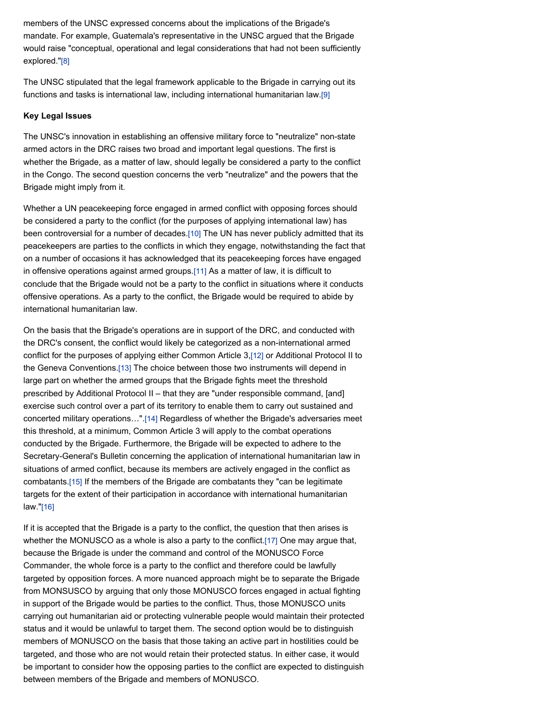members of the UNSC expressed concerns about the implications of the Brigade's mandate. For example, Guatemala's representative in the UNSC argued that the Brigade would raise "conceptual, operational and legal considerations that had not been sufficiently explored.["\[8\]](file:///Users/jamessteiner/ASIL/ASIL%202011/www/_Design%20Templates/insights/insight130606.html#_edn8)

The UNSC stipulated that the legal framework applicable to the Brigade in carrying out its functions and tasks is international law, including international humanitarian law[.\[9\]](file:///Users/jamessteiner/ASIL/ASIL%202011/www/_Design%20Templates/insights/insight130606.html#_edn9)

#### **Key Legal Issues**

The UNSC's innovation in establishing an offensive military force to "neutralize" non-state armed actors in the DRC raises two broad and important legal questions. The first is whether the Brigade, as a matter of law, should legally be considered a party to the conflict in the Congo. The second question concerns the verb "neutralize" and the powers that the Brigade might imply from it.

Whether a UN peacekeeping force engaged in armed conflict with opposing forces should be considered a party to the conflict (for the purposes of applying international law) has been controversial for a number of decades[.\[10\]](file:///Users/jamessteiner/ASIL/ASIL%202011/www/_Design%20Templates/insights/insight130606.html#_edn10) The UN has never publicly admitted that its peacekeepers are parties to the conflicts in which they engage, notwithstanding the fact that on a number of occasions it has acknowledged that its peacekeeping forces have engaged in offensive operations against armed groups[.\[11\]](file:///Users/jamessteiner/ASIL/ASIL%202011/www/_Design%20Templates/insights/insight130606.html#_edn11) As a matter of law, it is difficult to conclude that the Brigade would not be a party to the conflict in situations where it conducts offensive operations. As a party to the conflict, the Brigade would be required to abide by international humanitarian law.

On the basis that the Brigade's operations are in support of the DRC, and conducted with the DRC's consent, the conflict would likely be categorized as a non-international armed conflict for the purposes of applying either Common Article 3,[\[12\]](file:///Users/jamessteiner/ASIL/ASIL%202011/www/_Design%20Templates/insights/insight130606.html#_edn12) or Additional Protocol II to the Geneva Conventions[.\[13\]](file:///Users/jamessteiner/ASIL/ASIL%202011/www/_Design%20Templates/insights/insight130606.html#_edn13) The choice between those two instruments will depend in large part on whether the armed groups that the Brigade fights meet the threshold prescribed by Additional Protocol II – that they are "under responsible command, [and] exercise such control over a part of its territory to enable them to carry out sustained and concerted military operations…"[.\[14\]](file:///Users/jamessteiner/ASIL/ASIL%202011/www/_Design%20Templates/insights/insight130606.html#_edn14) Regardless of whether the Brigade's adversaries meet this threshold, at a minimum, Common Article 3 will apply to the combat operations conducted by the Brigade. Furthermore, the Brigade will be expected to adhere to the Secretary-General's Bulletin concerning the application of international humanitarian law in situations of armed conflict, because its members are actively engaged in the conflict as combatants.[\[15\]](file:///Users/jamessteiner/ASIL/ASIL%202011/www/_Design%20Templates/insights/insight130606.html#_edn15) If the members of the Brigade are combatants they "can be legitimate targets for the extent of their participation in accordance with international humanitarian law.["\[16\]](file:///Users/jamessteiner/ASIL/ASIL%202011/www/_Design%20Templates/insights/insight130606.html#_edn16)

If it is accepted that the Brigade is a party to the conflict, the question that then arises is whether the MONUSCO as a whole is also a party to the conflict.[\[17\]](file:///Users/jamessteiner/ASIL/ASIL%202011/www/_Design%20Templates/insights/insight130606.html#_edn17) One may argue that, because the Brigade is under the command and control of the MONUSCO Force Commander, the whole force is a party to the conflict and therefore could be lawfully targeted by opposition forces. A more nuanced approach might be to separate the Brigade from MONSUSCO by arguing that only those MONUSCO forces engaged in actual fighting in support of the Brigade would be parties to the conflict. Thus, those MONUSCO units carrying out humanitarian aid or protecting vulnerable people would maintain their protected status and it would be unlawful to target them. The second option would be to distinguish members of MONUSCO on the basis that those taking an active part in hostilities could be targeted, and those who are not would retain their protected status. In either case, it would be important to consider how the opposing parties to the conflict are expected to distinguish between members of the Brigade and members of MONUSCO.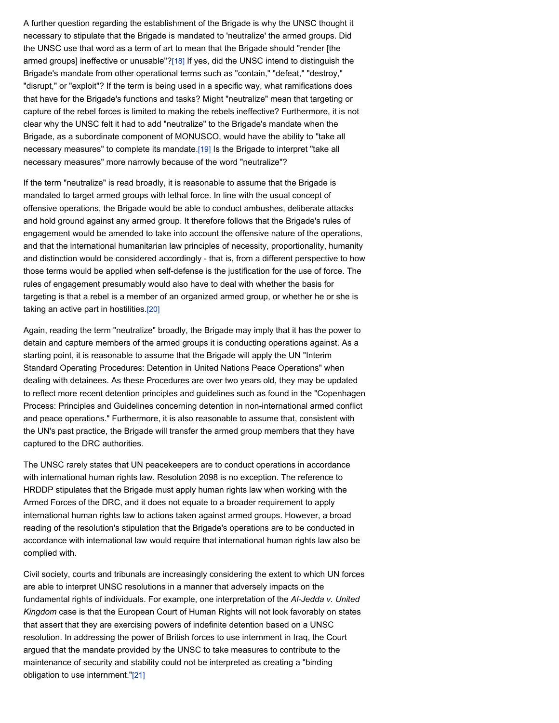A further question regarding the establishment of the Brigade is why the UNSC thought it necessary to stipulate that the Brigade is mandated to 'neutralize' the armed groups. Did the UNSC use that word as a term of art to mean that the Brigade should "render [the armed groups] ineffective or unusable"[?\[18\]](file:///Users/jamessteiner/ASIL/ASIL%202011/www/_Design%20Templates/insights/insight130606.html#_edn18) If yes, did the UNSC intend to distinguish the Brigade's mandate from other operational terms such as "contain," "defeat," "destroy," "disrupt," or "exploit"? If the term is being used in a specific way, what ramifications does that have for the Brigade's functions and tasks? Might "neutralize" mean that targeting or capture of the rebel forces is limited to making the rebels ineffective? Furthermore, it is not clear why the UNSC felt it had to add "neutralize" to the Brigade's mandate when the Brigade, as a subordinate component of MONUSCO, would have the ability to "take all necessary measures" to complete its mandate.[\[19\]](file:///Users/jamessteiner/ASIL/ASIL%202011/www/_Design%20Templates/insights/insight130606.html#_edn19) Is the Brigade to interpret "take all necessary measures" more narrowly because of the word "neutralize"?

If the term "neutralize" is read broadly, it is reasonable to assume that the Brigade is mandated to target armed groups with lethal force. In line with the usual concept of offensive operations, the Brigade would be able to conduct ambushes, deliberate attacks and hold ground against any armed group. It therefore follows that the Brigade's rules of engagement would be amended to take into account the offensive nature of the operations, and that the international humanitarian law principles of necessity, proportionality, humanity and distinction would be considered accordingly - that is, from a different perspective to how those terms would be applied when self-defense is the justification for the use of force. The rules of engagement presumably would also have to deal with whether the basis for targeting is that a rebel is a member of an organized armed group, or whether he or she is taking an active part in hostilities.[\[20\]](file:///Users/jamessteiner/ASIL/ASIL%202011/www/_Design%20Templates/insights/insight130606.html#_edn20)

Again, reading the term "neutralize" broadly, the Brigade may imply that it has the power to detain and capture members of the armed groups it is conducting operations against. As a starting point, it is reasonable to assume that the Brigade will apply the UN "Interim Standard Operating Procedures: Detention in United Nations Peace Operations" when dealing with detainees. As these Procedures are over two years old, they may be updated to reflect more recent detention principles and guidelines such as found in the "Copenhagen Process: Principles and Guidelines concerning detention in non-international armed conflict and peace operations." Furthermore, it is also reasonable to assume that, consistent with the UN's past practice, the Brigade will transfer the armed group members that they have captured to the DRC authorities.

The UNSC rarely states that UN peacekeepers are to conduct operations in accordance with international human rights law. Resolution 2098 is no exception. The reference to HRDDP stipulates that the Brigade must apply human rights law when working with the Armed Forces of the DRC, and it does not equate to a broader requirement to apply international human rights law to actions taken against armed groups. However, a broad reading of the resolution's stipulation that the Brigade's operations are to be conducted in accordance with international law would require that international human rights law also be complied with.

Civil society, courts and tribunals are increasingly considering the extent to which UN forces are able to interpret UNSC resolutions in a manner that adversely impacts on the fundamental rights of individuals. For example, one interpretation of the *Al-Jedda v. United Kingdom* case is that the European Court of Human Rights will not look favorably on states that assert that they are exercising powers of indefinite detention based on a UNSC resolution. In addressing the power of British forces to use internment in Iraq, the Court argued that the mandate provided by the UNSC to take measures to contribute to the maintenance of security and stability could not be interpreted as creating a "binding obligation to use internment."[\[21\]](file:///Users/jamessteiner/ASIL/ASIL%202011/www/_Design%20Templates/insights/insight130606.html#_edn21)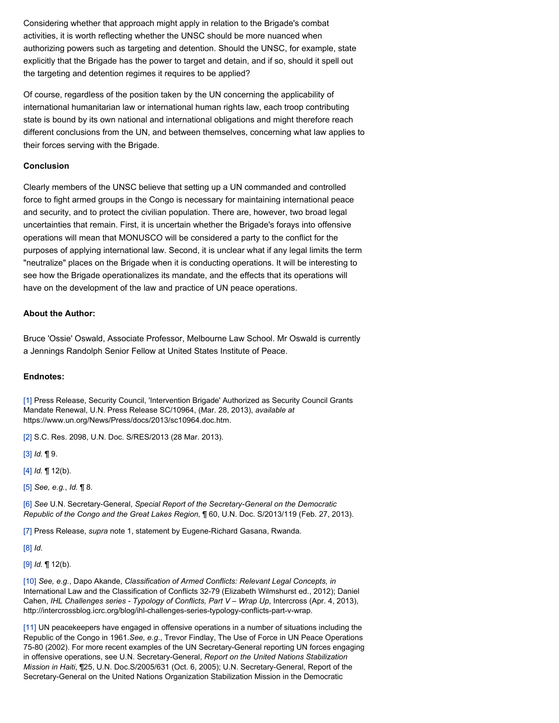Considering whether that approach might apply in relation to the Brigade's combat activities, it is worth reflecting whether the UNSC should be more nuanced when authorizing powers such as targeting and detention. Should the UNSC, for example, state explicitly that the Brigade has the power to target and detain, and if so, should it spell out the targeting and detention regimes it requires to be applied?

Of course, regardless of the position taken by the UN concerning the applicability of international humanitarian law or international human rights law, each troop contributing state is bound by its own national and international obligations and might therefore reach different conclusions from the UN, and between themselves, concerning what law applies to their forces serving with the Brigade.

### **Conclusion**

Clearly members of the UNSC believe that setting up a UN commanded and controlled force to fight armed groups in the Congo is necessary for maintaining international peace and security, and to protect the civilian population. There are, however, two broad legal uncertainties that remain. First, it is uncertain whether the Brigade's forays into offensive operations will mean that MONUSCO will be considered a party to the conflict for the purposes of applying international law. Second, it is unclear what if any legal limits the term "neutralize" places on the Brigade when it is conducting operations. It will be interesting to see how the Brigade operationalizes its mandate, and the effects that its operations will have on the development of the law and practice of UN peace operations.

#### **About the Author:**

Bruce 'Ossie' Oswald, Associate Professor, Melbourne Law School. Mr Oswald is currently a Jennings Randolph Senior Fellow at United States Institute of Peace.

#### **Endnotes:**

[\[1\]](file:///Users/jamessteiner/ASIL/ASIL%202011/www/_Design%20Templates/insights/insight130606.html#_ednref1) Press Release, Security Council, 'Intervention Brigade' Authorized as Security Council Grants Mandate Renewal, U.N. Press Release SC/10964, (Mar. 28, 2013), *available at* https://www.un.org/News/Press/docs/2013/sc10964.doc.htm.

[\[2\]](file:///Users/jamessteiner/ASIL/ASIL%202011/www/_Design%20Templates/insights/insight130606.html#_ednref2) S.C. Res. 2098, U.N. Doc. S/RES/2013 (28 Mar. 2013).

[\[3\]](file:///Users/jamessteiner/ASIL/ASIL%202011/www/_Design%20Templates/insights/insight130606.html#_ednref3) *Id.* ¶ 9.

[\[4\]](file:///Users/jamessteiner/ASIL/ASIL%202011/www/_Design%20Templates/insights/insight130606.html#_ednref4) *Id.* ¶ 12(b).

[\[5\]](file:///Users/jamessteiner/ASIL/ASIL%202011/www/_Design%20Templates/insights/insight130606.html#_ednref5) *See, e.g.*, *Id.* ¶ 8.

[\[6\]](file:///Users/jamessteiner/ASIL/ASIL%202011/www/_Design%20Templates/insights/insight130606.html#_ednref6) *See* U.N. Secretary-General, *Special Report of the Secretary-General on the Democratic Republic of the Congo and the Great Lakes Region,* ¶ 60, U.N. Doc. S/2013/119 (Feb. 27, 2013).

[\[7\]](file:///Users/jamessteiner/ASIL/ASIL%202011/www/_Design%20Templates/insights/insight130606.html#_ednref7) Press Release, *supra* note 1, statement by Eugene-Richard Gasana, Rwanda.

[\[8\]](file:///Users/jamessteiner/ASIL/ASIL%202011/www/_Design%20Templates/insights/insight130606.html#_ednref8) *Id*.

[\[9\]](file:///Users/jamessteiner/ASIL/ASIL%202011/www/_Design%20Templates/insights/insight130606.html#_ednref9) *Id.* ¶ 12(b).

[\[10\]](file:///Users/jamessteiner/ASIL/ASIL%202011/www/_Design%20Templates/insights/insight130606.html#_ednref10) *See, e.g.*, Dapo Akande, *Classification of Armed Conflicts: Relevant Legal Concepts, in* International Law and the Classification of Conflicts 32-79 (Elizabeth Wilmshurst ed., 2012); Daniel Cahen, *IHL Challenges series - Typology of Conflicts, Part V – Wrap Up*, Intercross (Apr. 4, 2013), http://intercrossblog.icrc.org/blog/ihl-challenges-series-typology-conflicts-part-v-wrap.

[\[11\]](file:///Users/jamessteiner/ASIL/ASIL%202011/www/_Design%20Templates/insights/insight130606.html#_ednref11) UN peacekeepers have engaged in offensive operations in a number of situations including the Republic of the Congo in 1961.*See, e.g*., Trevor Findlay, The Use of Force in UN Peace Operations 75-80 (2002). For more recent examples of the UN Secretary-General reporting UN forces engaging in offensive operations, see U.N. Secretary-General, *Report on the United Nations Stabilization Mission in Haiti*, ¶25, U.N. Doc.S/2005/631 (Oct. 6, 2005); U.N. Secretary-General, Report of the Secretary-General on the United Nations Organization Stabilization Mission in the Democratic